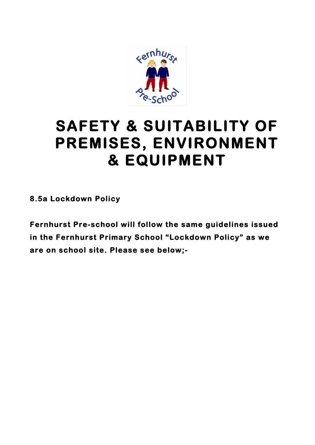

## **SAFETY & SUITABILITY OF PREMISES, ENVIRONMENT & EQUIPMENT**

**8.5a Lockdown Policy** 

**Fernhurst Pre-school will follow the same guidelines issued in the Fernhurst Primary School "Lockdown Policy" as we are on school site. Please see below;-**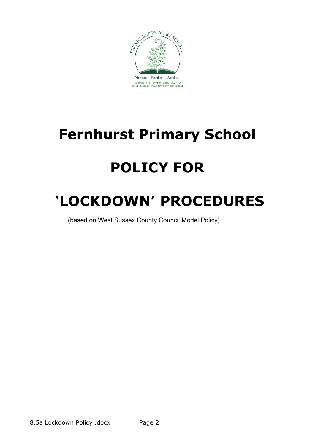

## **Fernhurst Primary School**

# **POLICY FOR**

## **'LOCKDOWN' PROCEDURES**

(based on West Sussex County Council Model Policy)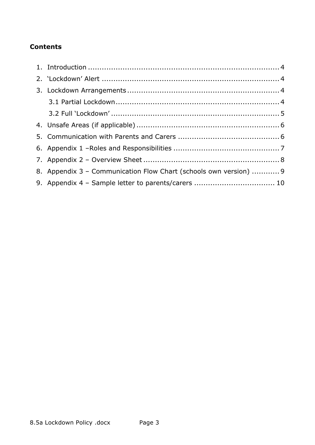### **Contents**

| 8. Appendix 3 - Communication Flow Chart (schools own version)  9 |
|-------------------------------------------------------------------|
| 9. Appendix 4 - Sample letter to parents/carers  10               |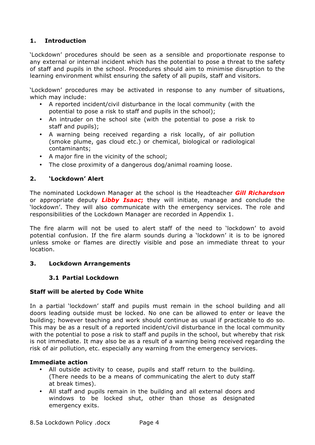#### **1. Introduction**

'Lockdown' procedures should be seen as a sensible and proportionate response to any external or internal incident which has the potential to pose a threat to the safety of staff and pupils in the school. Procedures should aim to minimise disruption to the learning environment whilst ensuring the safety of all pupils, staff and visitors.

'Lockdown' procedures may be activated in response to any number of situations, which may include:

- A reported incident/civil disturbance in the local community (with the potential to pose a risk to staff and pupils in the school);
- An intruder on the school site (with the potential to pose a risk to staff and pupils);
- A warning being received regarding a risk locally, of air pollution (smoke plume, gas cloud etc.) or chemical, biological or radiological contaminants;
- A major fire in the vicinity of the school;
- The close proximity of a dangerous dog/animal roaming loose.

#### **2. 'Lockdown' Alert**

The nominated Lockdown Manager at the school is the Headteacher *Gill Richardson* or appropriate deputy *Libby Isaac***;** they will initiate, manage and conclude the 'lockdown'. They will also communicate with the emergency services. The role and responsibilities of the Lockdown Manager are recorded in Appendix 1.

The fire alarm will not be used to alert staff of the need to 'lockdown' to avoid potential confusion. If the fire alarm sounds during a 'lockdown' it is to be ignored unless smoke or flames are directly visible and pose an immediate threat to your location.

#### **3. Lockdown Arrangements**

#### **3.1 Partial Lockdown**

#### **Staff will be alerted by Code White**

In a partial 'lockdown' staff and pupils must remain in the school building and all doors leading outside must be locked. No one can be allowed to enter or leave the building; however teaching and work should continue as usual if practicable to do so. This may be as a result of a reported incident/civil disturbance in the local community with the potential to pose a risk to staff and pupils in the school, but whereby that risk is not immediate. It may also be as a result of a warning being received regarding the risk of air pollution, etc. especially any warning from the emergency services.

#### **Immediate action**

- All outside activity to cease, pupils and staff return to the building. (There needs to be a means of communicating the alert to duty staff at break times).
- All staff and pupils remain in the building and all external doors and windows to be locked shut, other than those as designated emergency exits.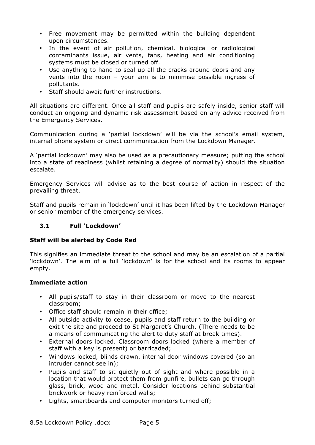- Free movement may be permitted within the building dependent upon circumstances.
- In the event of air pollution, chemical, biological or radiological contaminants issue, air vents, fans, heating and air conditioning systems must be closed or turned off.
- Use anything to hand to seal up all the cracks around doors and any vents into the room – your aim is to minimise possible ingress of pollutants.
- Staff should await further instructions.

All situations are different. Once all staff and pupils are safely inside, senior staff will conduct an ongoing and dynamic risk assessment based on any advice received from the Emergency Services.

Communication during a 'partial lockdown' will be via the school's email system, internal phone system or direct communication from the Lockdown Manager.

A 'partial lockdown' may also be used as a precautionary measure; putting the school into a state of readiness (whilst retaining a degree of normality) should the situation escalate.

Emergency Services will advise as to the best course of action in respect of the prevailing threat.

Staff and pupils remain in 'lockdown' until it has been lifted by the Lockdown Manager or senior member of the emergency services.

#### **3.1 Full 'Lockdown'**

#### **Staff will be alerted by Code Red**

This signifies an immediate threat to the school and may be an escalation of a partial 'lockdown'. The aim of a full 'lockdown' is for the school and its rooms to appear empty.

#### **Immediate action**

- All pupils/staff to stay in their classroom or move to the nearest classroom;
- Office staff should remain in their office;
- All outside activity to cease, pupils and staff return to the building or exit the site and proceed to St Margaret's Church. (There needs to be a means of communicating the alert to duty staff at break times).
- External doors locked. Classroom doors locked (where a member of staff with a key is present) or barricaded;
- Windows locked, blinds drawn, internal door windows covered (so an intruder cannot see in);
- Pupils and staff to sit quietly out of sight and where possible in a location that would protect them from gunfire, bullets can go through glass, brick, wood and metal. Consider locations behind substantial brickwork or heavy reinforced walls;
- Lights, smartboards and computer monitors turned off;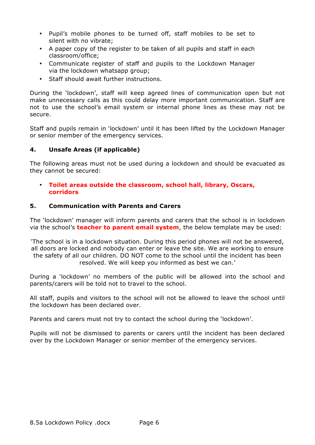- Pupil's mobile phones to be turned off, staff mobiles to be set to silent with no vibrate;
- A paper copy of the register to be taken of all pupils and staff in each classroom/office;
- Communicate register of staff and pupils to the Lockdown Manager via the lockdown whatsapp group;
- Staff should await further instructions.

During the 'lockdown', staff will keep agreed lines of communication open but not make unnecessary calls as this could delay more important communication. Staff are not to use the school's email system or internal phone lines as these may not be secure.

Staff and pupils remain in 'lockdown' until it has been lifted by the Lockdown Manager or senior member of the emergency services.

#### **4. Unsafe Areas (if applicable)**

The following areas must not be used during a lockdown and should be evacuated as they cannot be secured:

#### • **Toilet areas outside the classroom, school hall, library, Oscars, corridors**

#### **5. Communication with Parents and Carers**

The 'lockdown' manager will inform parents and carers that the school is in lockdown via the school's **teacher to parent email system**, the below template may be used:

'The school is in a lockdown situation. During this period phones will not be answered, all doors are locked and nobody can enter or leave the site. We are working to ensure the safety of all our children. DO NOT come to the school until the incident has been resolved. We will keep you informed as best we can.'

During a 'lockdown' no members of the public will be allowed into the school and parents/carers will be told not to travel to the school.

All staff, pupils and visitors to the school will not be allowed to leave the school until the lockdown has been declared over.

Parents and carers must not try to contact the school during the 'lockdown'.

Pupils will not be dismissed to parents or carers until the incident has been declared over by the Lockdown Manager or senior member of the emergency services.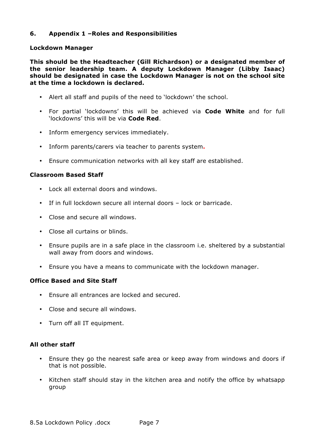#### **6. Appendix 1 –Roles and Responsibilities**

#### **Lockdown Manager**

**This should be the Headteacher (Gill Richardson) or a designated member of the senior leadership team. A deputy Lockdown Manager (Libby Isaac) should be designated in case the Lockdown Manager is not on the school site at the time a lockdown is declared.**

- Alert all staff and pupils of the need to 'lockdown' the school.
- For partial 'lockdowns' this will be achieved via **Code White** and for full 'lockdowns' this will be via **Code Red**.
- Inform emergency services immediately.
- Inform parents/carers via teacher to parents system**.**
- Ensure communication networks with all key staff are established.

#### **Classroom Based Staff**

- Lock all external doors and windows.
- If in full lockdown secure all internal doors lock or barricade.
- Close and secure all windows.
- Close all curtains or blinds.
- Ensure pupils are in a safe place in the classroom i.e. sheltered by a substantial wall away from doors and windows.
- Ensure you have a means to communicate with the lockdown manager.

#### **Office Based and Site Staff**

- Ensure all entrances are locked and secured.
- Close and secure all windows.
- Turn off all IT equipment.

#### **All other staff**

- Ensure they go the nearest safe area or keep away from windows and doors if that is not possible.
- Kitchen staff should stay in the kitchen area and notify the office by whatsapp group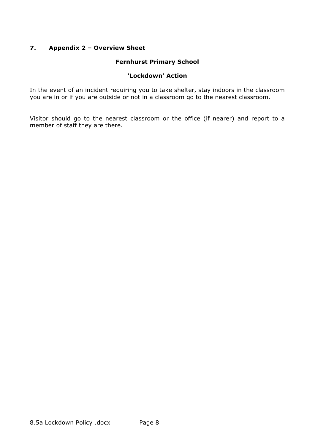#### **7. Appendix 2 – Overview Sheet**

#### **Fernhurst Primary School**

#### **'Lockdown' Action**

In the event of an incident requiring you to take shelter, stay indoors in the classroom you are in or if you are outside or not in a classroom go to the nearest classroom.

Visitor should go to the nearest classroom or the office (if nearer) and report to a member of staff they are there.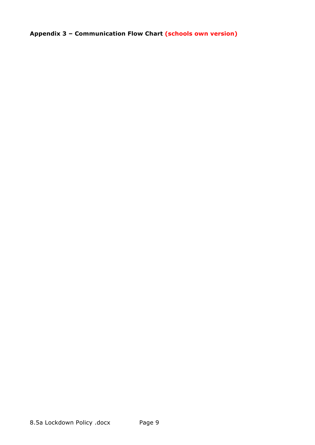**Appendix 3 – Communication Flow Chart (schools own version)**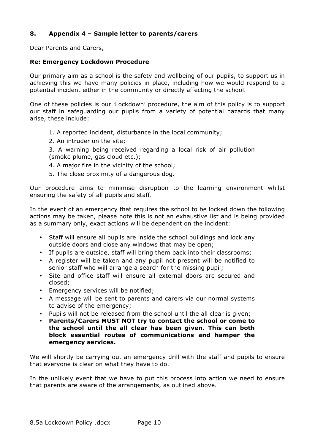#### **8. Appendix 4 – Sample letter to parents/carers**

Dear Parents and Carers,

#### **Re: Emergency Lockdown Procedure**

Our primary aim as a school is the safety and wellbeing of our pupils, to support us in achieving this we have many policies in place, including how we would respond to a potential incident either in the community or directly affecting the school.

One of these policies is our 'Lockdown' procedure, the aim of this policy is to support our staff in safeguarding our pupils from a variety of potential hazards that many arise, these include:

- 1. A reported incident, disturbance in the local community;
- 2. An intruder on the site;

3. A warning being received regarding a local risk of air pollution (smoke plume, gas cloud etc.);

- 4. A major fire in the vicinity of the school;
- 5. The close proximity of a dangerous dog.

Our procedure aims to minimise disruption to the learning environment whilst ensuring the safety of all pupils and staff.

In the event of an emergency that requires the school to be locked down the following actions may be taken, please note this is not an exhaustive list and is being provided as a summary only, exact actions will be dependent on the incident:

- Staff will ensure all pupils are inside the school buildings and lock any outside doors and close any windows that may be open;
- If pupils are outside, staff will bring them back into their classrooms;
- A register will be taken and any pupil not present will be notified to senior staff who will arrange a search for the missing pupil;
- Site and office staff will ensure all external doors are secured and closed;
- Emergency services will be notified;
- A message will be sent to parents and carers via our normal systems to advise of the emergency;
- Pupils will not be released from the school until the all clear is given;
- **Parents/Carers MUST NOT try to contact the school or come to the school until the all clear has been given. This can both block essential routes of communications and hamper the emergency services.**

We will shortly be carrying out an emergency drill with the staff and pupils to ensure that everyone is clear on what they have to do.

In the unlikely event that we have to put this process into action we need to ensure that parents are aware of the arrangements, as outlined above.